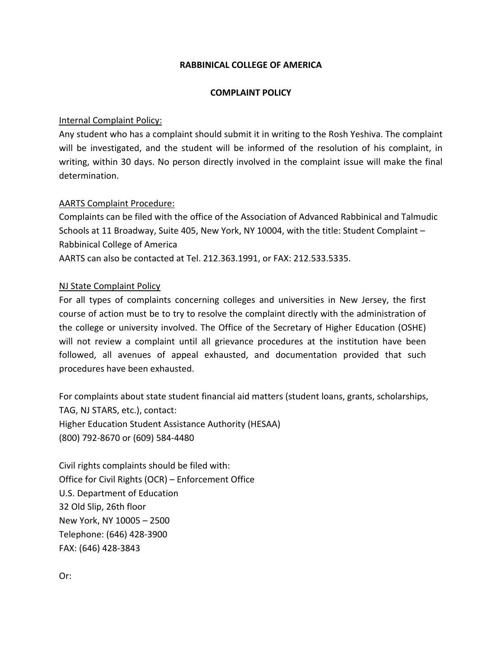## **RABBINICAL COLLEGE OF AMERICA**

## **COMPLAINT POLICY**

## Internal Complaint Policy:

Any student who has a complaint should submit it in writing to the Rosh Yeshiva. The complaint will be investigated, and the student will be informed of the resolution of his complaint, in writing, within 30 days. No person directly involved in the complaint issue will make the final determination.

### AARTS Complaint Procedure:

Complaints can be filed with the office of the Association of Advanced Rabbinical and Talmudic Schools at 11 Broadway, Suite 405, New York, NY 10004, with the title: Student Complaint – Rabbinical College of America AARTS can also be contacted at Tel. 212.363.1991, or FAX: 212.533.5335.

# NJ State Complaint Policy

For all types of complaints concerning colleges and universities in New Jersey, the first course of action must be to try to resolve the complaint directly with the administration of the college or university involved. The Office of the Secretary of Higher Education (OSHE) will not review a complaint until all grievance procedures at the institution have been followed, all avenues of appeal exhausted, and documentation provided that such procedures have been exhausted.

For complaints about state student financial aid matters (student loans, grants, scholarships, TAG, NJ STARS, etc.), contact: Higher Education Student Assistance Authority (HESAA) (800) 792‐8670 or (609) 584‐4480

Civil rights complaints should be filed with: Office for Civil Rights (OCR) – Enforcement Office U.S. Department of Education 32 Old Slip, 26th floor New York, NY 10005 – 2500 Telephone: (646) 428‐3900 FAX: (646) 428‐3843

Or: